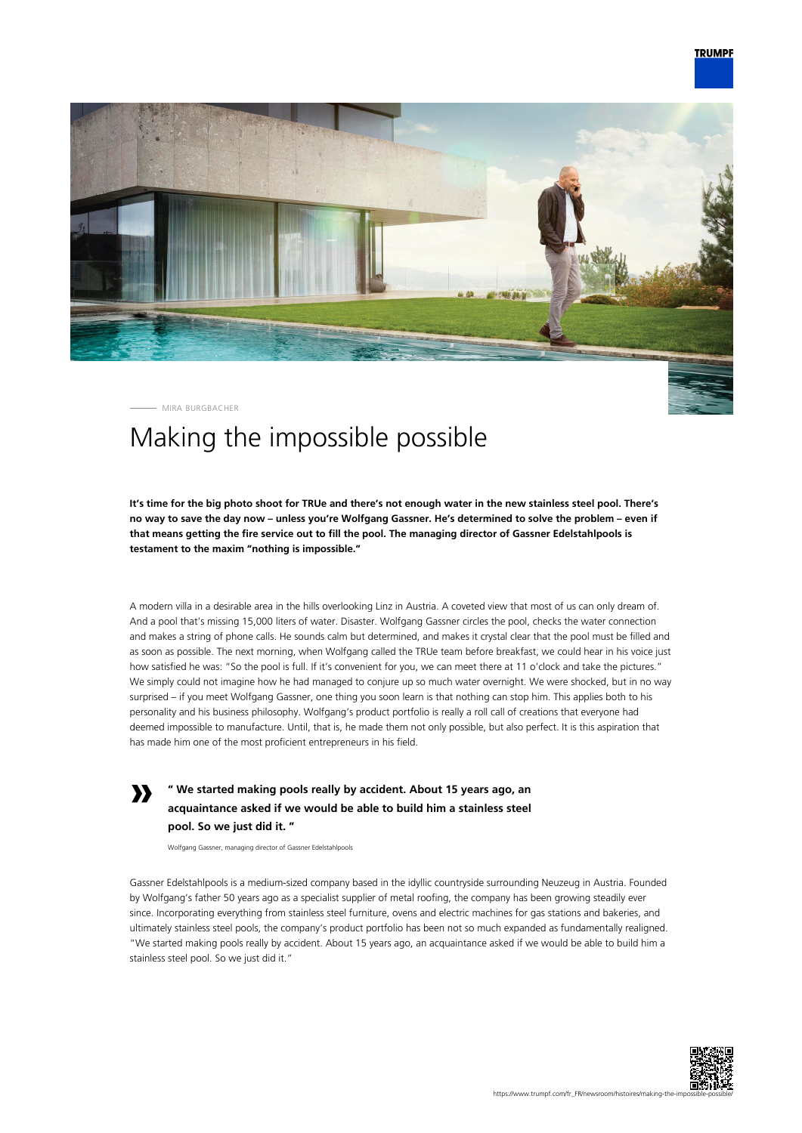

MIRA BURGBACHER

**»**

## Making the impossible possible

**It's time for the big photo shoot for TRUe and there's not enough water in the new stainless steel pool. There's no way to save the day now – unless you're Wolfgang Gassner. He's determined to solve the problem – even if that means getting the fire service out to fill the pool. The managing director of Gassner Edelstahlpools is testament to the maxim "nothing is impossible."**

A modern villa in a desirable area in the hills overlooking Linz in Austria. A coveted view that most of us can only dream of. And a pool that's missing 15,000 liters of water. Disaster. Wolfgang Gassner circles the pool, checks the water connection and makes a string of phone calls. He sounds calm but determined, and makes it crystal clear that the pool must be filled and as soon as possible. The next morning, when Wolfgang called the TRUe team before breakfast, we could hear in his voice just how satisfied he was: "So the pool is full. If it's convenient for you, we can meet there at 11 o'clock and take the pictures." We simply could not imagine how he had managed to conjure up so much water overnight. We were shocked, but in no way surprised – if you meet Wolfgang Gassner, one thing you soon learn is that nothing can stop him. This applies both to his personality and his business philosophy. Wolfgang's product portfolio is really a roll call of creations that everyone had deemed impossible to manufacture. Until, that is, he made them not only possible, but also perfect. It is this aspiration that has made him one of the most proficient entrepreneurs in his field.

## **" We started making pools really by accident. About 15 years ago, an acquaintance asked if we would be able to build him a stainless steel pool. So we just did it. "**

Wolfgang Gassner, managing director of Gassner Edelstahlpools

Gassner Edelstahlpools is a medium-sized company based in the idyllic countryside surrounding Neuzeug in Austria. Founded by Wolfgang's father 50 years ago as a specialist supplier of metal roofing, the company has been growing steadily ever since. Incorporating everything from stainless steel furniture, ovens and electric machines for gas stations and bakeries, and ultimately stainless steel pools, the company's product portfolio has been not so much expanded as fundamentally realigned. "We started making pools really by accident. About 15 years ago, an acquaintance asked if we would be able to build him a stainless steel pool. So we just did it."

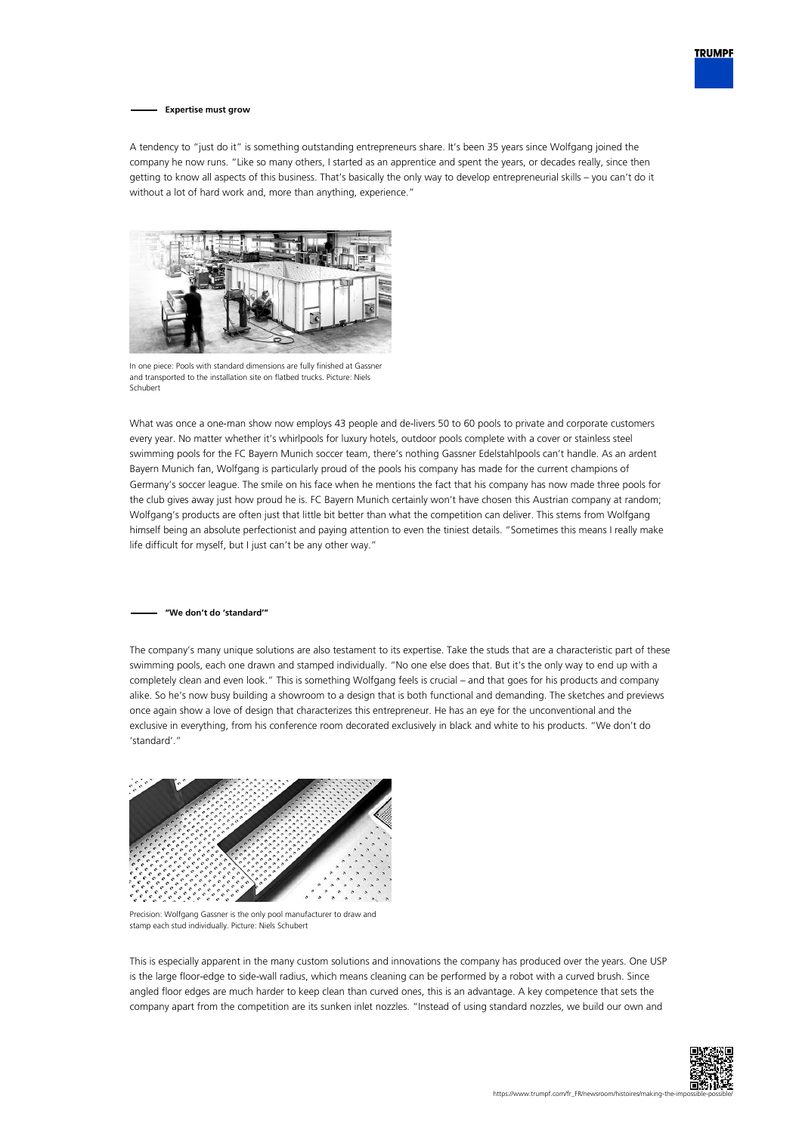

**Expertise must grow**

A tendency to "just do it" is something outstanding entrepreneurs share. It's been 35 years since Wolfgang joined the company he now runs. "Like so many others, I started as an apprentice and spent the years, or decades really, since then getting to know all aspects of this business. That's basically the only way to develop entrepreneurial skills – you can't do it without a lot of hard work and, more than anything, experience."



In one piece: Pools with standard dimensions are fully finished at Gassner and transported to the installation site on flatbed trucks. Picture: Niels Schubert

What was once a one-man show now employs 43 people and de-livers 50 to 60 pools to private and corporate customers every year. No matter whether it's whirlpools for luxury hotels, outdoor pools complete with a cover or stainless steel swimming pools for the FC Bayern Munich soccer team, there's nothing Gassner Edelstahlpools can't handle. As an ardent Bayern Munich fan, Wolfgang is particularly proud of the pools his company has made for the current champions of Germany's soccer league. The smile on his face when he mentions the fact that his company has now made three pools for the club gives away just how proud he is. FC Bayern Munich certainly won't have chosen this Austrian company at random; Wolfgang's products are often just that little bit better than what the competition can deliver. This stems from Wolfgang himself being an absolute perfectionist and paying attention to even the tiniest details. "Sometimes this means I really make life difficult for myself, but I just can't be any other way."

## **"We don't do 'standard'"**

The company's many unique solutions are also testament to its expertise. Take the studs that are a characteristic part of these swimming pools, each one drawn and stamped individually. "No one else does that. But it's the only way to end up with a completely clean and even look." This is something Wolfgang feels is crucial – and that goes for his products and company alike. So he's now busy building a showroom to a design that is both functional and demanding. The sketches and previews once again show a love of design that characterizes this entrepreneur. He has an eye for the unconventional and the exclusive in everything, from his conference room decorated exclusively in black and white to his products. "We don't do 'standard'."



Precision: Wolfgang Gassner is the only pool manufacturer to draw and stamp each stud individually. Picture: Niels Schubert

This is especially apparent in the many custom solutions and innovations the company has produced over the years. One USP is the large floor-edge to side-wall radius, which means cleaning can be performed by a robot with a curved brush. Since angled floor edges are much harder to keep clean than curved ones, this is an advantage. A key competence that sets the company apart from the competition are its sunken inlet nozzles. "Instead of using standard nozzles, we build our own and